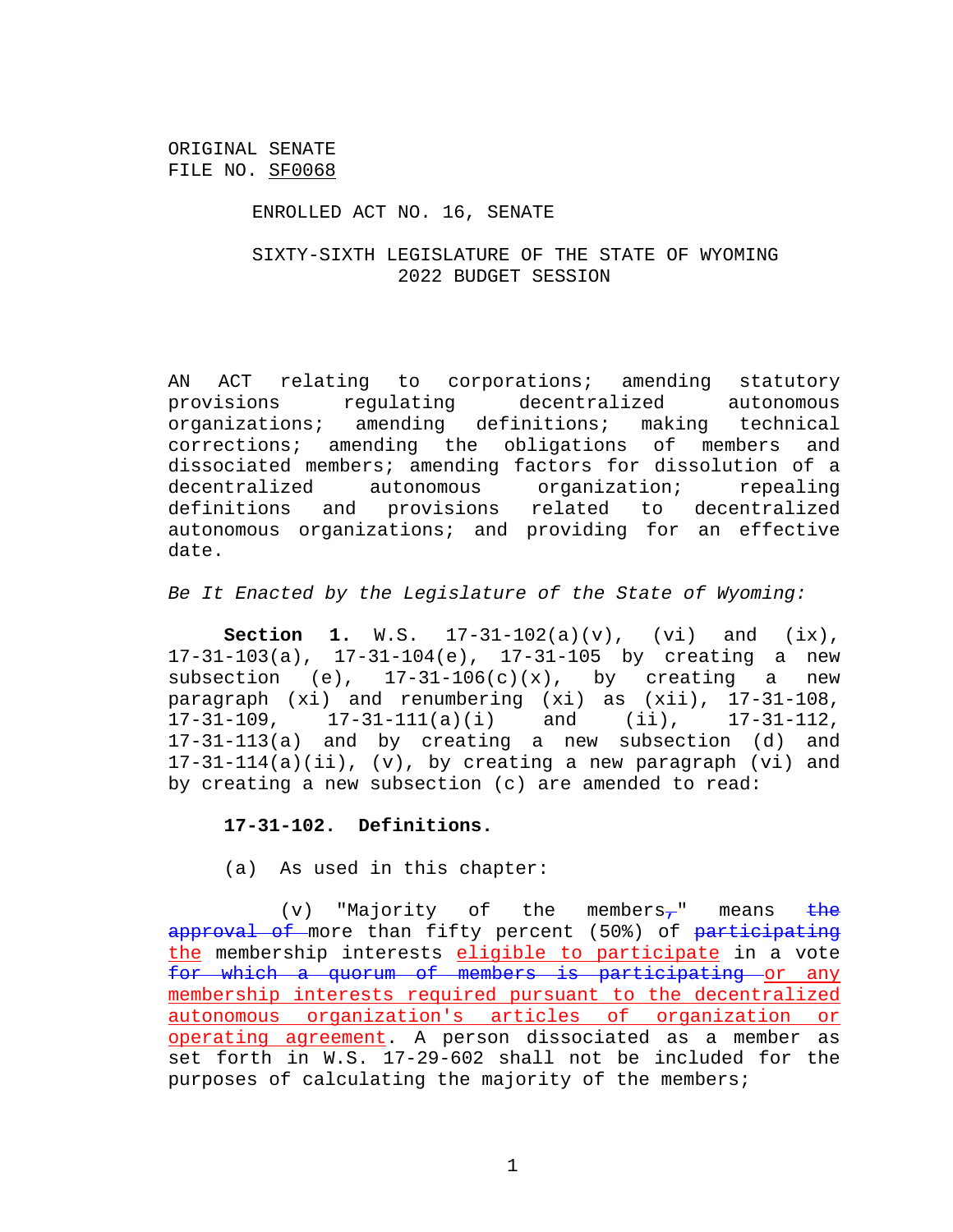#### ENROLLED ACT NO. 16, SENATE

## SIXTY-SIXTH LEGISLATURE OF THE STATE OF WYOMING 2022 BUDGET SESSION

AN ACT relating to corporations; amending statutory provisions regulating decentralized autonomous organizations; amending definitions; making technical corrections; amending the obligations of members and dissociated members; amending factors for dissolution of a decentralized autonomous organization; repealing definitions and provisions related to decentralized autonomous organizations; and providing for an effective date.

*Be It Enacted by the Legislature of the State of Wyoming:*

**Section 1.** W.S. 17-31-102(a)(v), (vi) and (ix), 17-31-103(a), 17-31-104(e), 17-31-105 by creating a new subsection (e),  $17-31-106(c)(x)$ , by creating a new paragraph (xi) and renumbering (xi) as (xii), 17-31-108, 17-31-109, 17-31-111(a)(i) and (ii), 17-31-112, 17-31-113(a) and by creating a new subsection (d) and 17-31-114(a)(ii), (v), by creating a new paragraph (vi) and by creating a new subsection (c) are amended to read:

#### **17-31-102. Definitions.**

(a) As used in this chapter:

(v) "Majority of the members-" means the approval of more than fifty percent (50%) of participating the membership interests eligible to participate in a vote for which a quorum of members is participating or any membership interests required pursuant to the decentralized autonomous organization's articles of organization or operating agreement. A person dissociated as a member as set forth in W.S. 17-29-602 shall not be included for the purposes of calculating the majority of the members;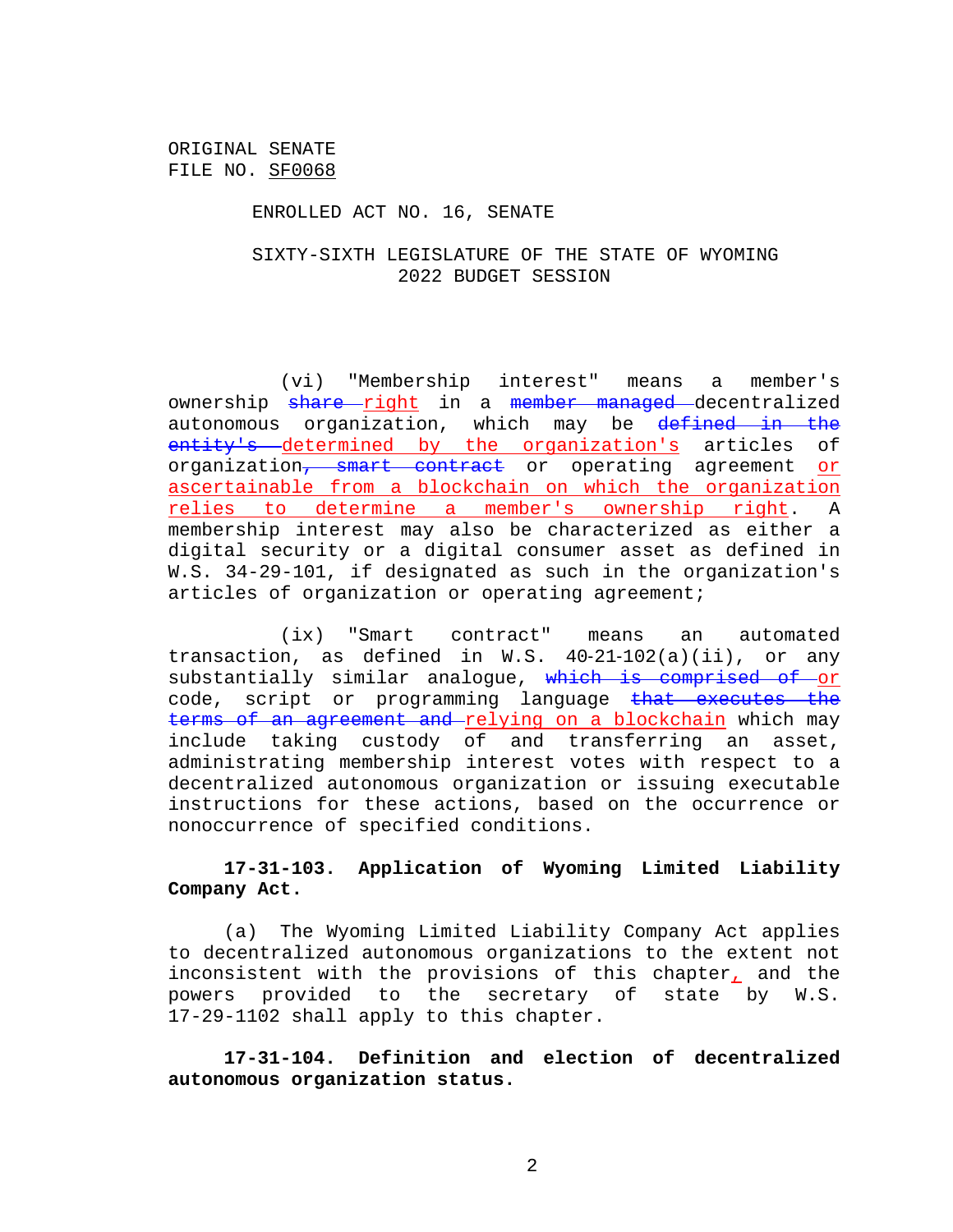#### ENROLLED ACT NO. 16, SENATE

## SIXTY-SIXTH LEGISLATURE OF THE STATE OF WYOMING 2022 BUDGET SESSION

(vi) "Membership interest" means a member's ownership share right in a member managed decentralized autonomous organization, which may be defined in the entity's determined by the organization's articles of organization, smart contract or operating agreement or ascertainable from a blockchain on which the organization relies to determine a member's ownership right. A membership interest may also be characterized as either a digital security or a digital consumer asset as defined in W.S. 34-29-101, if designated as such in the organization's articles of organization or operating agreement;

(ix) "Smart contract" means an automated transaction, as defined in W.S. 40‑21‑102(a)(ii), or any substantially similar analoque, which is comprised of or code, script or programming language that executes the terms of an agreement and relying on a blockchain which may include taking custody of and transferring an asset, administrating membership interest votes with respect to a decentralized autonomous organization or issuing executable instructions for these actions, based on the occurrence or nonoccurrence of specified conditions.

# **17-31-103. Application of Wyoming Limited Liability Company Act.**

(a) The Wyoming Limited Liability Company Act applies to decentralized autonomous organizations to the extent not inconsistent with the provisions of this chapter, and the powers provided to the secretary of state by W.S. 17-29-1102 shall apply to this chapter.

**17-31-104. Definition and election of decentralized autonomous organization status.**

2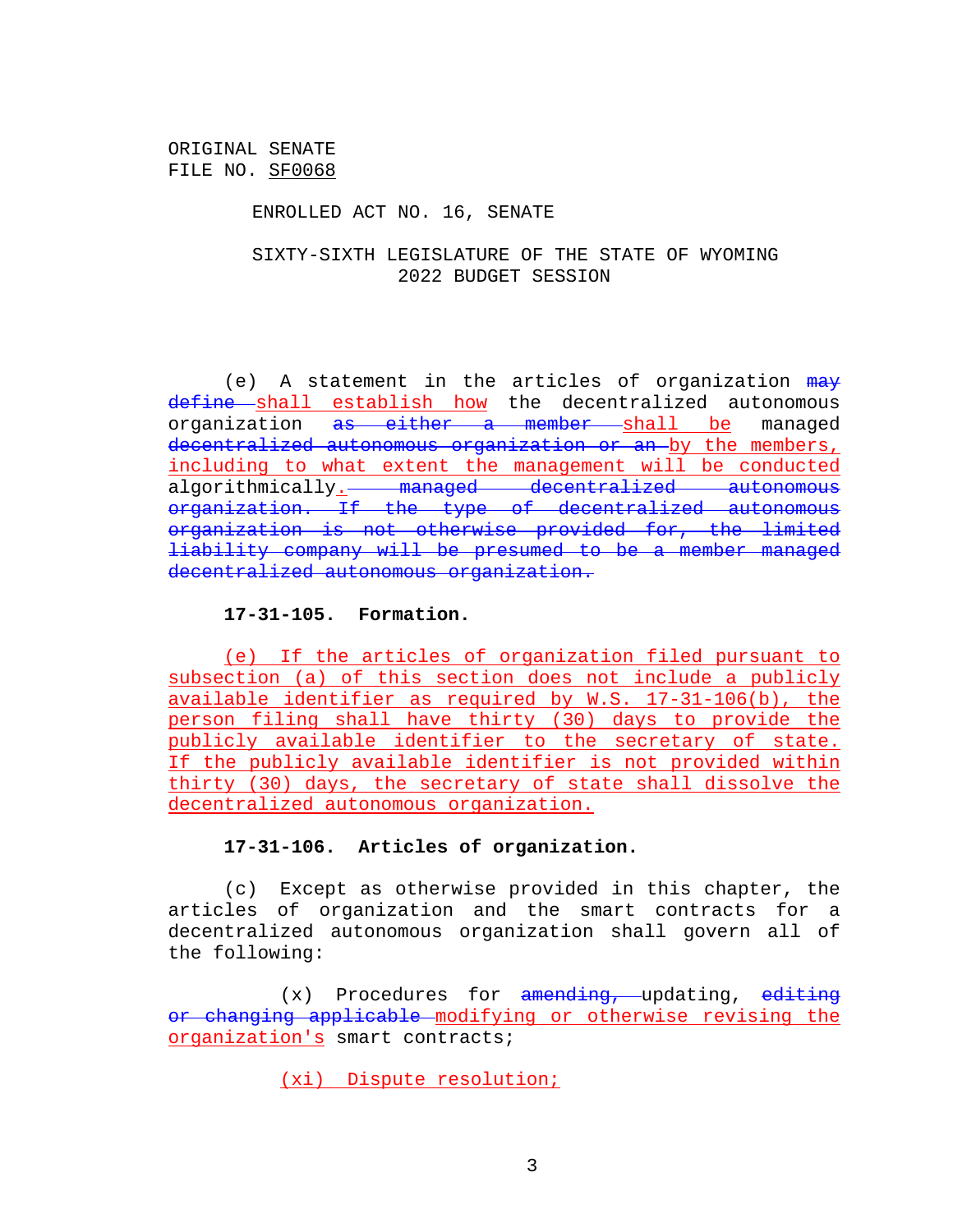### ENROLLED ACT NO. 16, SENATE

# SIXTY-SIXTH LEGISLATURE OF THE STATE OF WYOMING 2022 BUDGET SESSION

(e) A statement in the articles of organization  $max$ define shall establish how the decentralized autonomous organization as either a member shall be managed decentralized autonomous organization or an by the members, including to what extent the management will be conducted algorithmically. managed decentralized autonomous organization. If the type of decentralized autonomous organization is not otherwise provided for, the limited liability company will be presumed to be a member managed decentralized autonomous organization.

## **17-31-105. Formation.**

(e) If the articles of organization filed pursuant to subsection (a) of this section does not include a publicly available identifier as required by W.S. 17-31-106(b), the person filing shall have thirty (30) days to provide the publicly available identifier to the secretary of state. If the publicly available identifier is not provided within thirty (30) days, the secretary of state shall dissolve the decentralized autonomous organization.

## **17-31-106. Articles of organization.**

(c) Except as otherwise provided in this chapter, the articles of organization and the smart contracts for a decentralized autonomous organization shall govern all of the following:

 $(x)$  Procedures for amending, updating, editing or changing applicable modifying or otherwise revising the organization's smart contracts;

(xi) Dispute resolution;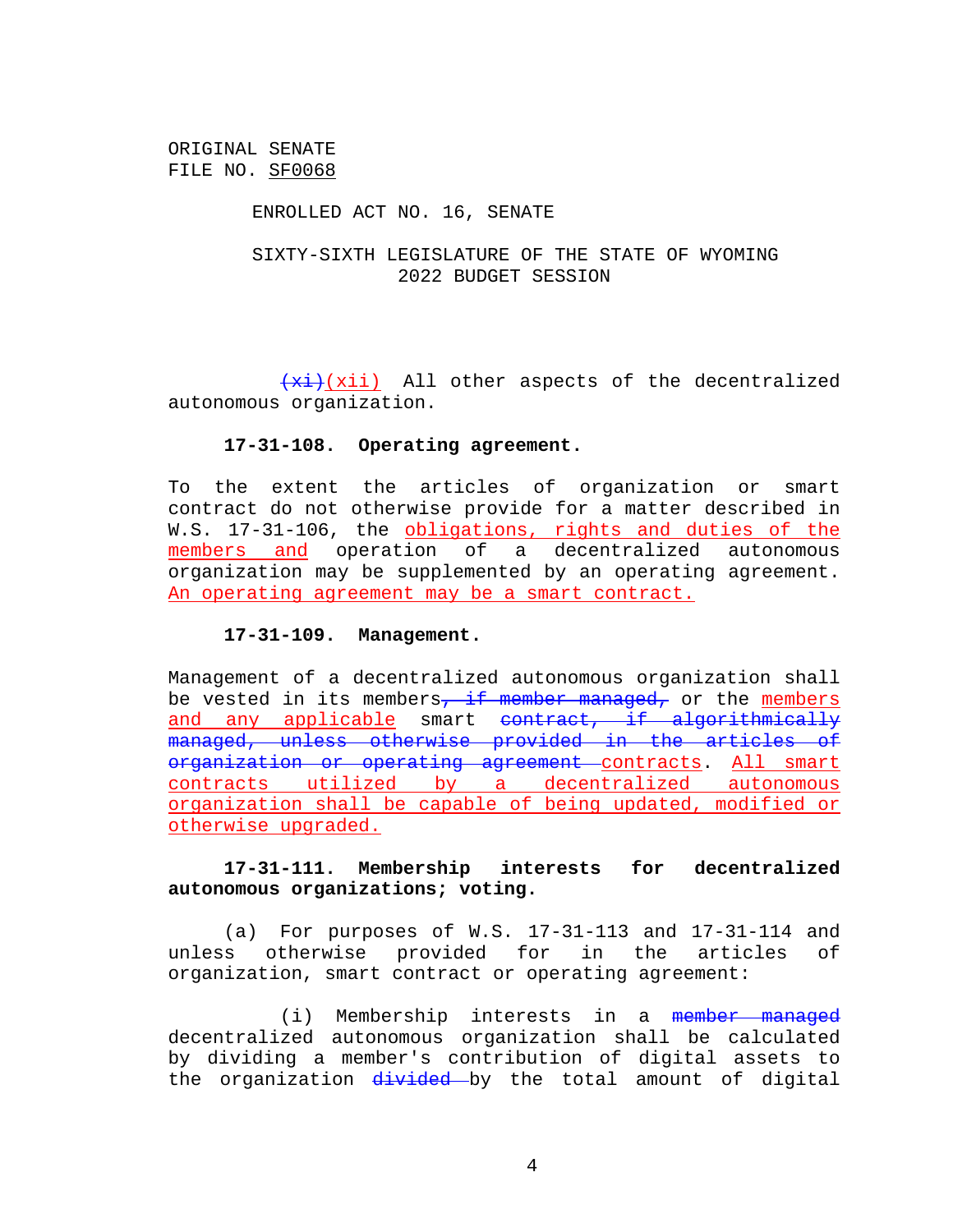### ENROLLED ACT NO. 16, SENATE

# SIXTY-SIXTH LEGISLATURE OF THE STATE OF WYOMING 2022 BUDGET SESSION

 $\overline{f(xi)}$ (xii) All other aspects of the decentralized autonomous organization.

### **17-31-108. Operating agreement.**

To the extent the articles of organization or smart contract do not otherwise provide for a matter described in W.S. 17-31-106, the obligations, rights and duties of the members and operation of a decentralized autonomous organization may be supplemented by an operating agreement. An operating agreement may be a smart contract.

### **17-31-109. Management.**

Management of a decentralized autonomous organization shall be vested in its members, if member managed, or the members and any applicable smart contract, if algorithmically managed, unless otherwise provided in the articles of organization or operating agreement contracts. All smart contracts utilized by a decentralized autonomous organization shall be capable of being updated, modified or otherwise upgraded.

# **17-31-111. Membership interests for decentralized autonomous organizations; voting.**

(a) For purposes of W.S. 17-31-113 and 17-31-114 and unless otherwise provided for in the articles of organization, smart contract or operating agreement:

(i) Membership interests in a member managed decentralized autonomous organization shall be calculated by dividing a member's contribution of digital assets to the organization divided by the total amount of digital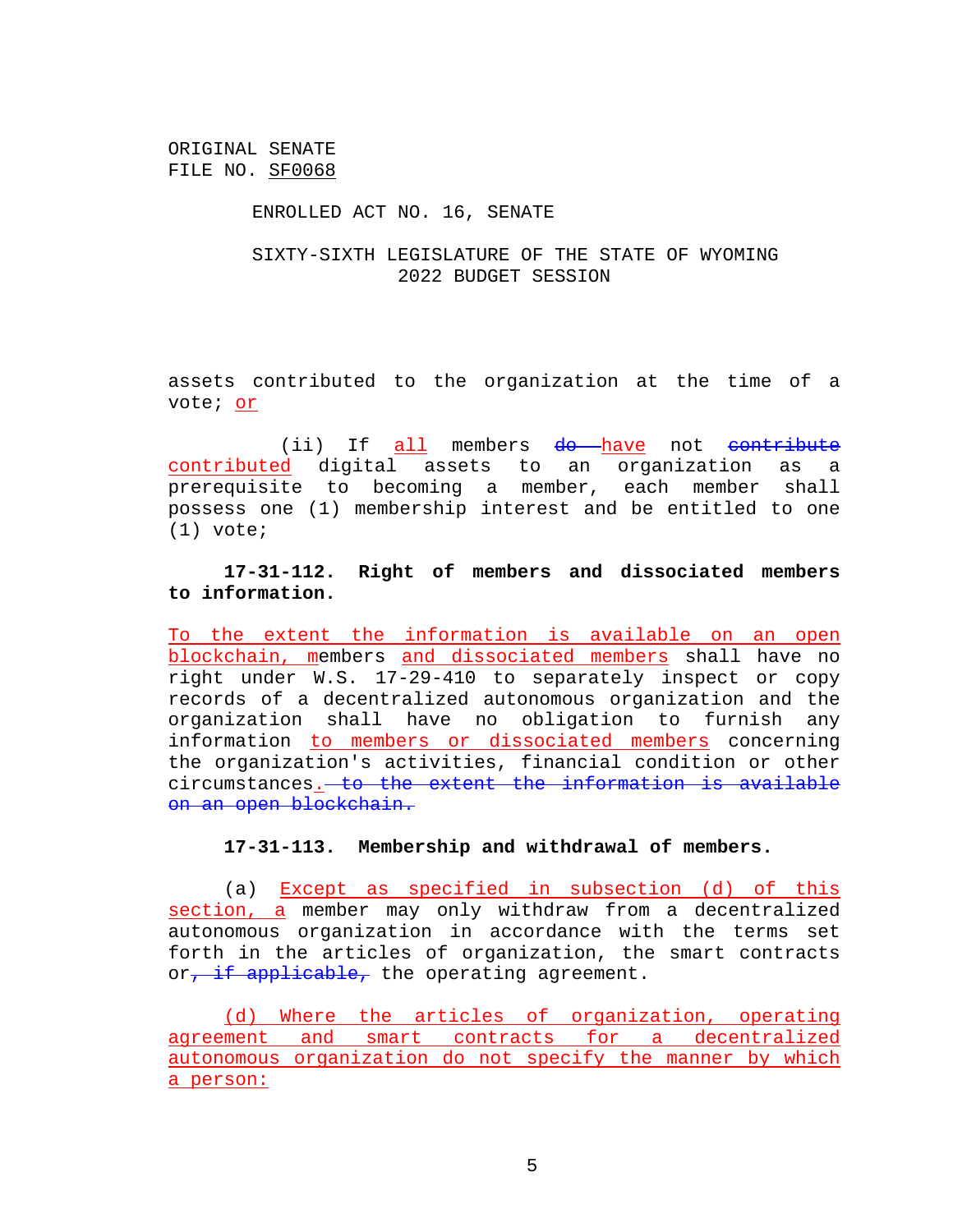### ENROLLED ACT NO. 16, SENATE

## SIXTY-SIXTH LEGISLATURE OF THE STATE OF WYOMING 2022 BUDGET SESSION

assets contributed to the organization at the time of a vote; or

(ii) If all members do have not contribute contributed digital assets to an organization as a prerequisite to becoming a member, each member shall possess one (1) membership interest and be entitled to one (1) vote;

**17-31-112. Right of members and dissociated members to information.**

To the extent the information is available on an open blockchain, members and dissociated members shall have no right under W.S. 17-29-410 to separately inspect or copy records of a decentralized autonomous organization and the organization shall have no obligation to furnish any information to members or dissociated members concerning the organization's activities, financial condition or other circumstances. to the extent the information is available on an open blockchain.

### **17-31-113. Membership and withdrawal of members.**

(a) Except as specified in subsection (d) of this section, a member may only withdraw from a decentralized autonomous organization in accordance with the terms set forth in the articles of organization, the smart contracts or, if applicable, the operating agreement.

(d) Where the articles of organization, operating agreement and smart contracts for a decentralized autonomous organization do not specify the manner by which a person: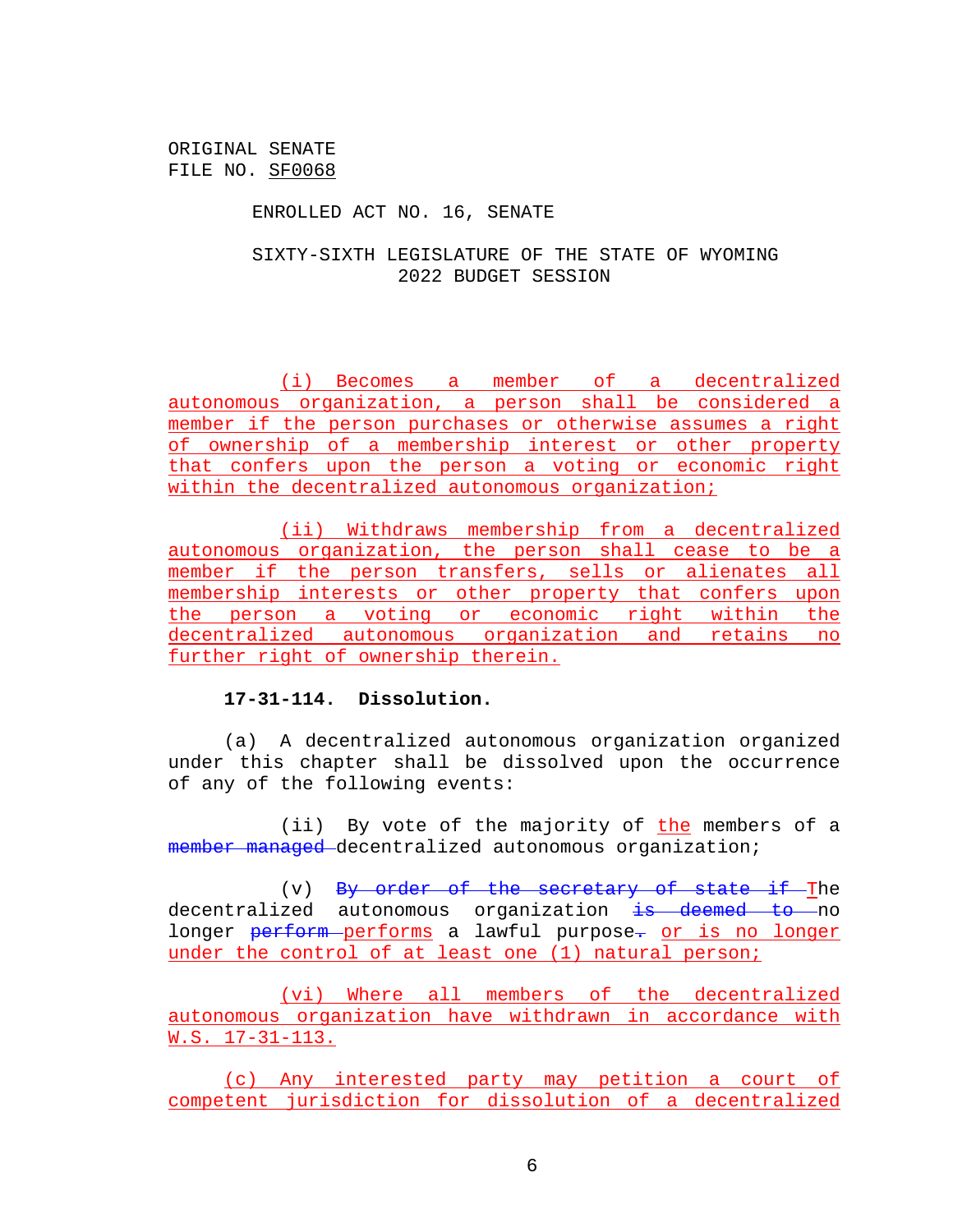ENROLLED ACT NO. 16, SENATE

SIXTY-SIXTH LEGISLATURE OF THE STATE OF WYOMING 2022 BUDGET SESSION

(i) Becomes a member of a decentralized autonomous organization, a person shall be considered a member if the person purchases or otherwise assumes a right of ownership of a membership interest or other property that confers upon the person a voting or economic right within the decentralized autonomous organization;

(ii) Withdraws membership from a decentralized autonomous organization, the person shall cease to be a member if the person transfers, sells or alienates all membership interests or other property that confers upon the person a voting or economic right within the decentralized autonomous organization and retains no further right of ownership therein.

### **17-31-114. Dissolution.**

(a) A decentralized autonomous organization organized under this chapter shall be dissolved upon the occurrence of any of the following events:

(ii) By vote of the majority of the members of a member managed decentralized autonomous organization;

(v) By order of the secretary of state if The decentralized autonomous organization is deemed to no longer perform performs a lawful purpose. or is no longer under the control of at least one (1) natural person;

(vi) Where all members of the decentralized autonomous organization have withdrawn in accordance with W.S. 17-31-113.

(c) Any interested party may petition a court of competent jurisdiction for dissolution of a decentralized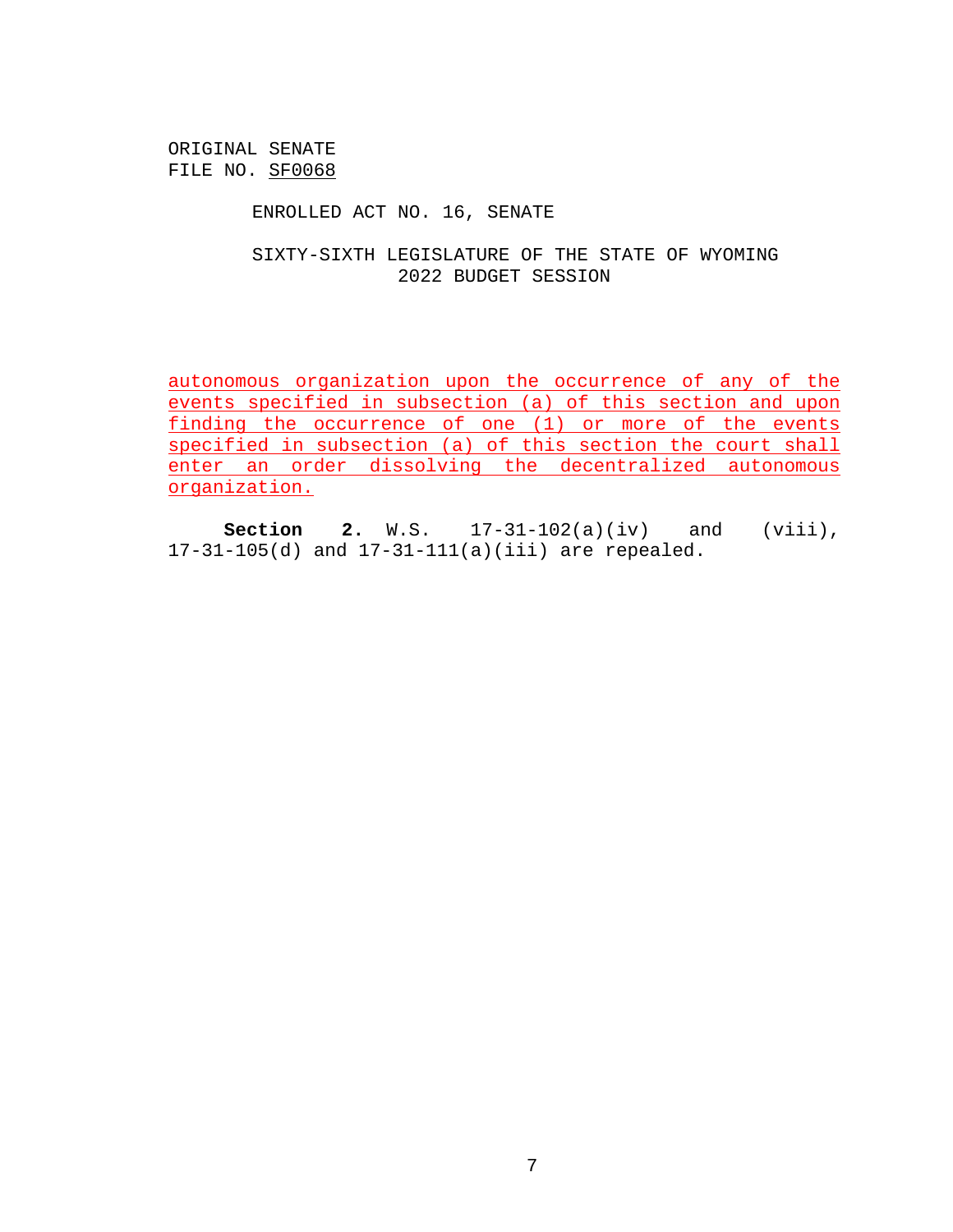ENROLLED ACT NO. 16, SENATE

SIXTY-SIXTH LEGISLATURE OF THE STATE OF WYOMING 2022 BUDGET SESSION

autonomous organization upon the occurrence of any of the events specified in subsection (a) of this section and upon finding the occurrence of one (1) or more of the events specified in subsection (a) of this section the court shall enter an order dissolving the decentralized autonomous organization.

**Section 2.** W.S. 17-31-102(a)(iv) and (viii), 17-31-105(d) and 17-31-111(a)(iii) are repealed.